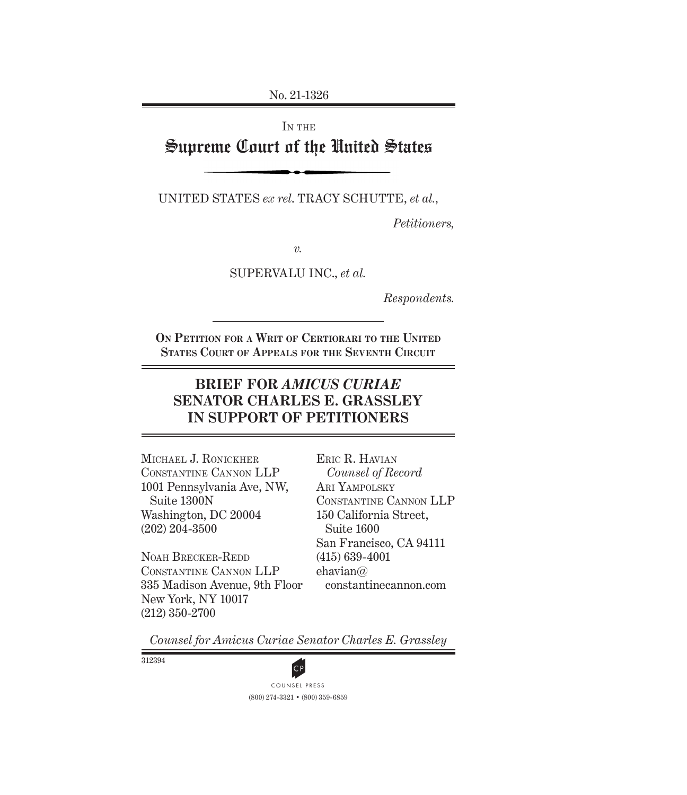No. 21-1326

# IN THE Supreme Court of the United States

UNITED STATES *ex rel*. TRACY SCHUTTE, *et al.*,

*Petitioners,*

*v.*

SUPERVALU INC., *et al.*

*Respondents.*

**On Petition for a Writ of Certiorari to the United States Court of Appeals for the Seventh Circuit**

## **BRIEF FOR** *AMICUS CURIAE* **SENATOR CHARLES E. GRASSLEY IN SUPPORT OF PETITIONERS**

Michael J. Ronickher Constantine Cannon LLP 1001 Pennsylvania Ave, NW, Suite 1300N Washington, DC 20004 (202) 204-3500

Noah Brecker-Redd Constantine Cannon LLP 335 Madison Avenue, 9th Floor New York, NY 10017 (212) 350-2700

Eric R. Havian *Counsel of Record* Ari Yampolsky Constantine Cannon LLP 150 California Street, Suite 1600 San Francisco, CA 94111 (415) 639-4001 ehavian@ constantinecannon.com

*Counsel for Amicus Curiae Senator Charles E. Grassley*

312394



(800) 274-3321 • (800) 359-6859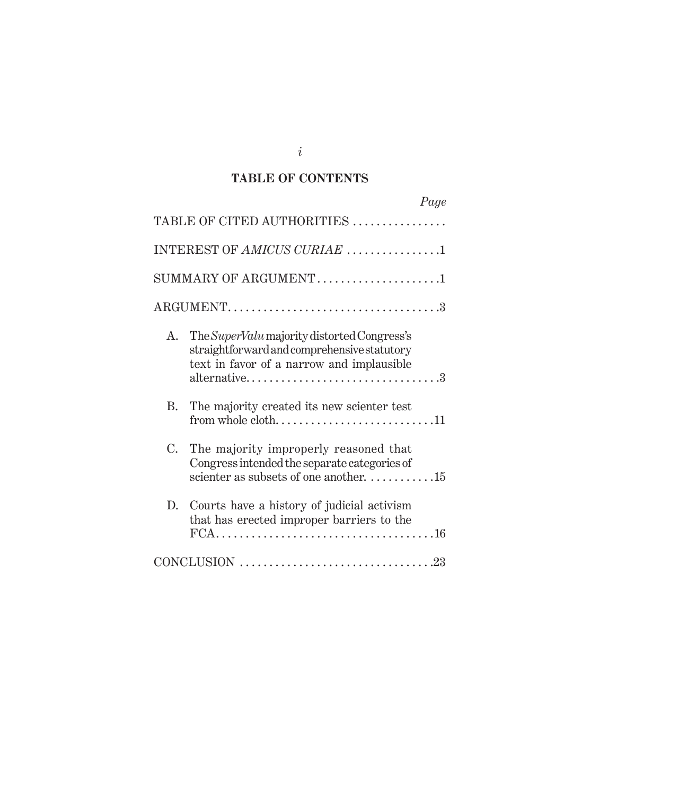### **TABLE OF CONTENTS**

| Page                                                                                                                                                          |
|---------------------------------------------------------------------------------------------------------------------------------------------------------------|
| TABLE OF CITED AUTHORITIES                                                                                                                                    |
| INTEREST OF AMICUS CURIAE 1                                                                                                                                   |
| SUMMARY OF ARGUMENT1                                                                                                                                          |
|                                                                                                                                                               |
| The SuperValu majority distorted Congress's<br>A.<br>straightforward and comprehensive statutory<br>text in favor of a narrow and implausible<br>alternative3 |
| B.<br>The majority created its new scienter test<br>from whole $\text{cloth} \dots \dots \dots \dots \dots \dots \dots \dots 11$                              |
| $C_{\cdot}$<br>The majority improperly reasoned that<br>Congress intended the separate categories of<br>scienter as subsets of one another. 15                |
| D. Courts have a history of judicial activism<br>that has erected improper barriers to the                                                                    |
| $CONCLUSION \dots 23$                                                                                                                                         |

*i*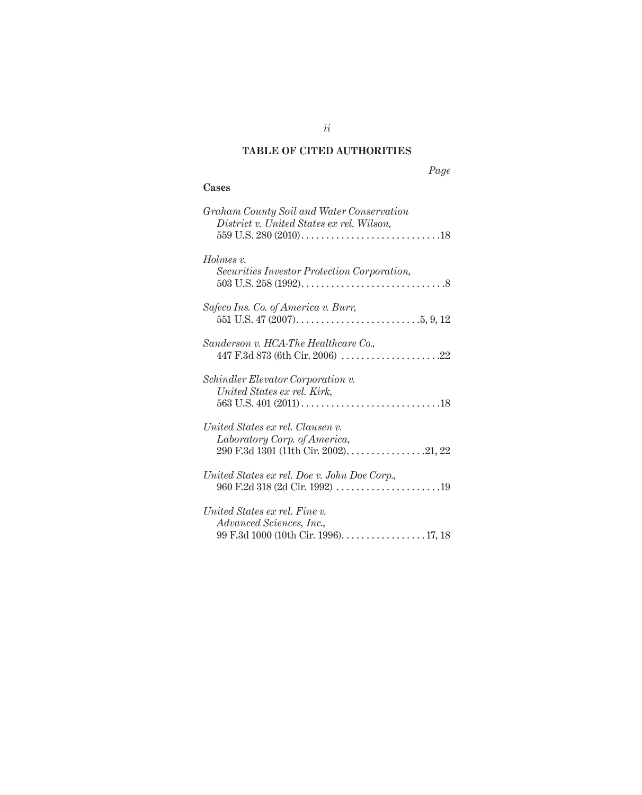## **TABLE OF CITED AUTHORITIES**

## *Page*

### **Cases**

| Graham County Soil and Water Conservation<br>District v. United States ex rel. Wilson, |
|----------------------------------------------------------------------------------------|
|                                                                                        |
| Holmes v.                                                                              |
| Securities Investor Protection Corporation,                                            |
| Safeco Ins. Co. of America v. Burr,                                                    |
|                                                                                        |
| Sanderson v. HCA-The Healthcare Co.,                                                   |
|                                                                                        |
| Schindler Elevator Corporation v.                                                      |
| United States ex rel. Kirk,                                                            |
|                                                                                        |
| United States ex rel. Clausen v.                                                       |
| Laboratory Corp. of America,                                                           |
| 290 F.3d 1301 (11th Cir. 2002). 21, 22                                                 |
| United States ex rel. Doe v. John Doe Corp.,                                           |
|                                                                                        |
| United States ex rel. Fine v.                                                          |
| Advanced Sciences, Inc.,                                                               |
|                                                                                        |

*ii*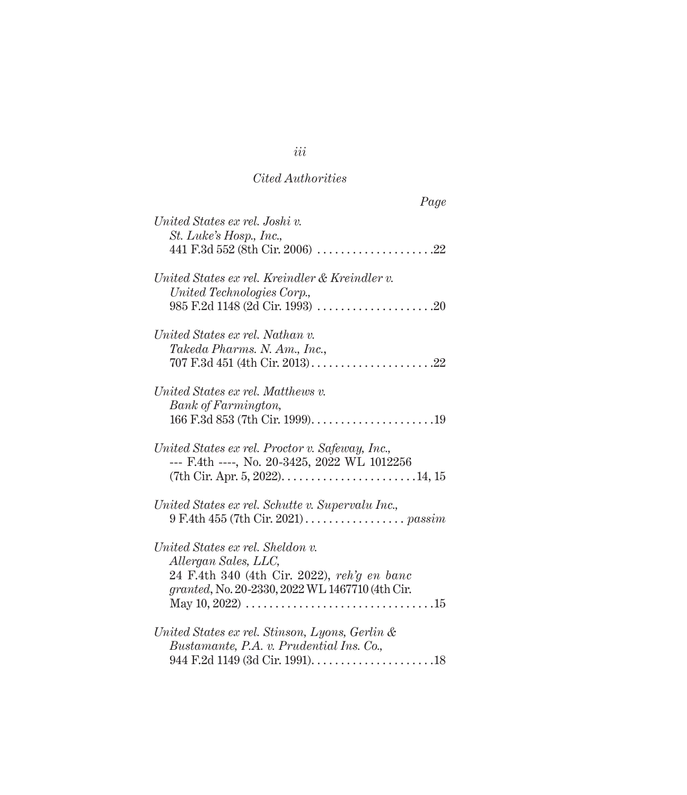### *Cited Authorities*

| Page                                                                                                                                                       |
|------------------------------------------------------------------------------------------------------------------------------------------------------------|
| United States ex rel. Joshi v.<br>St. Luke's Hosp., Inc.,                                                                                                  |
| 441 F.3d $552$ (8th Cir. 2006)<br>$\ldots$ . 22                                                                                                            |
| United States ex rel. Kreindler & Kreindler v.<br>United Technologies Corp.,                                                                               |
| United States ex rel. Nathan v.<br>Takeda Pharms. N. Am., Inc.,                                                                                            |
| $707 \text{ F.}3d \text{ 451 (4th Cir. } 2013) \dots \dots \dots \dots$<br>. 22                                                                            |
| United States ex rel. Matthews v.<br><b>Bank</b> of Farmington,                                                                                            |
|                                                                                                                                                            |
| United States ex rel. Proctor v. Safeway, Inc.,<br>--- F.4th ----, No. 20-3425, 2022 WL 1012256                                                            |
| United States ex rel. Schutte v. Supervalu Inc.,                                                                                                           |
| United States ex rel. Sheldon v.<br>Allergan Sales, LLC,<br>24 F.4th 340 (4th Cir. 2022), reh'g en banc<br>granted, No. 20-2330, 2022 WL 1467710 (4th Cir. |
| May 10, 2022) $\ldots \ldots \ldots \ldots \ldots \ldots \ldots \ldots \ldots \ldots \ldots \ldots 15$                                                     |
| United States ex rel. Stinson, Lyons, Gerlin &<br>Bustamante, P.A. v. Prudential Ins. Co.,                                                                 |
| 944 F.2d 1149 (3d Cir. 1991). $\dots \dots \dots \dots \dots \dots \dots \dots \dots$                                                                      |

*iii*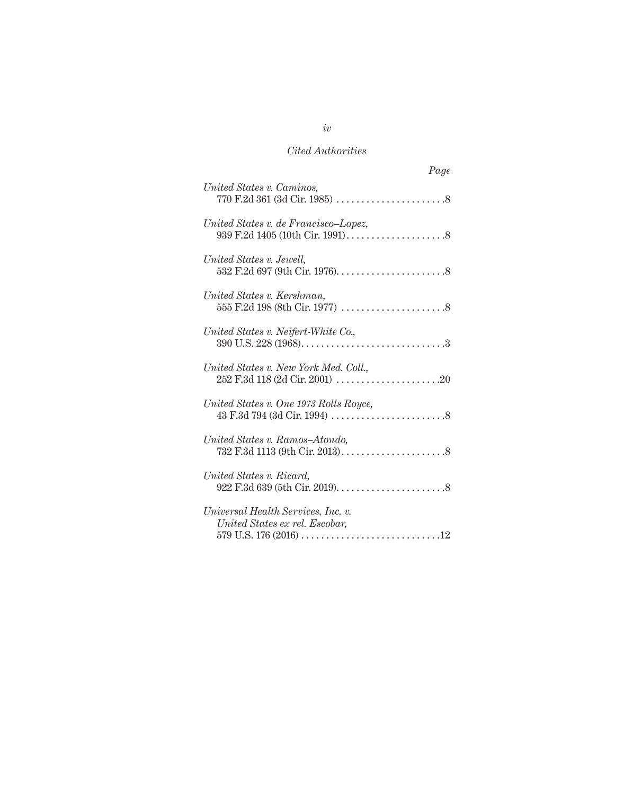## *Cited Authorities*

| Page                                                                 |
|----------------------------------------------------------------------|
| United States v. Caminos,                                            |
| United States v. de Francisco-Lopez,                                 |
| United States v. Jewell,                                             |
| United States v. Kershman,                                           |
| United States v. Neifert-White Co.,                                  |
| United States v. New York Med. Coll.,                                |
| United States v. One 1973 Rolls Royce,                               |
| United States v. Ramos-Atondo,                                       |
| United States v. Ricard,                                             |
| Universal Health Services, Inc. v.<br>United States ex rel. Escobar, |

## *iv*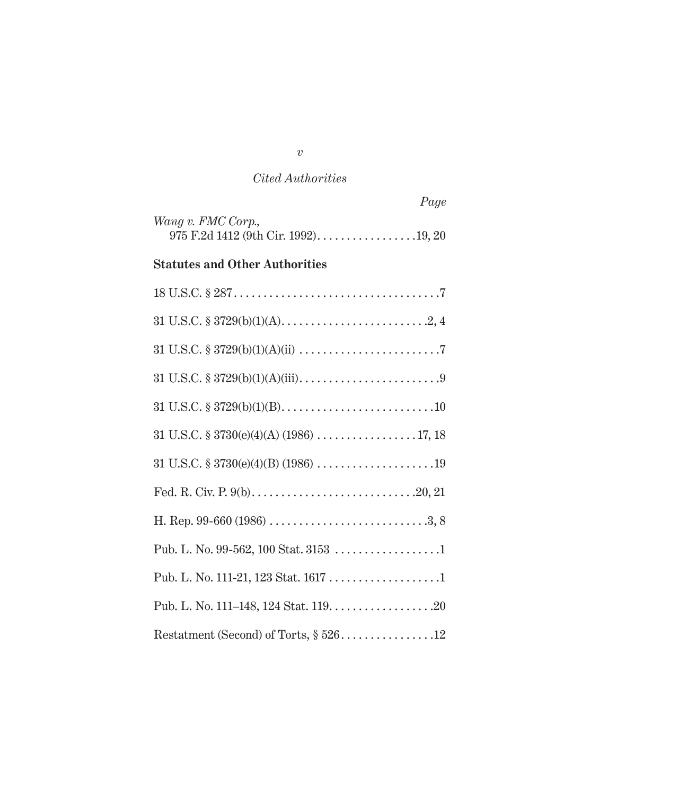### *Cited Authorities*

|                                                                               | Page |
|-------------------------------------------------------------------------------|------|
| Wang v. FMC Corp.,                                                            |      |
| <b>Statutes and Other Authorities</b>                                         |      |
|                                                                               |      |
|                                                                               |      |
|                                                                               |      |
|                                                                               |      |
|                                                                               |      |
| 31 U.S.C. $\S 3730(e)(4)(A) (1986) \ldots \ldots \ldots \ldots \ldots 17, 18$ |      |
|                                                                               |      |
|                                                                               |      |
|                                                                               |      |
|                                                                               |      |
|                                                                               |      |
|                                                                               |      |
| Restatment (Second) of Torts, § 52612                                         |      |

*v*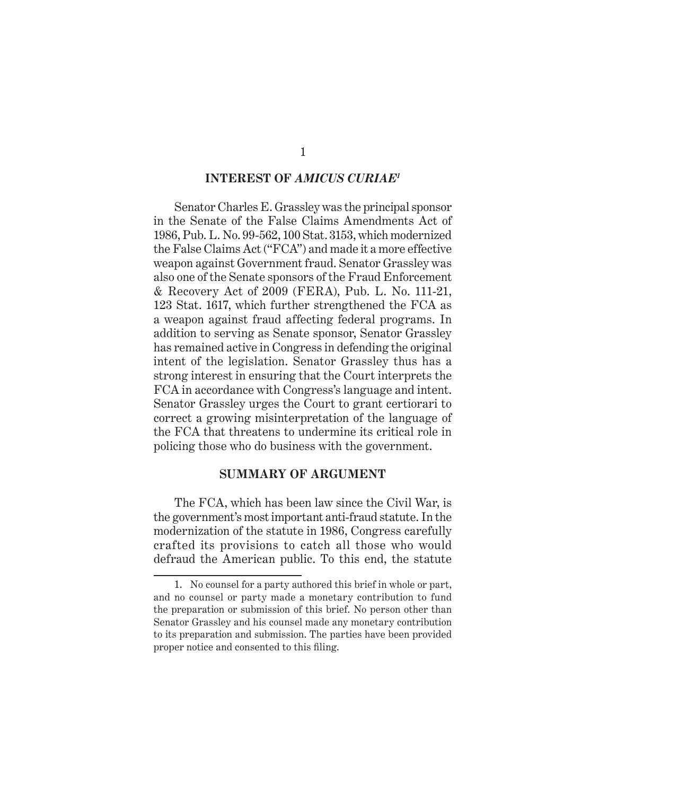#### **INTEREST OF** *AMICUS CURIAE1*

Senator Charles E. Grassley was the principal sponsor in the Senate of the False Claims Amendments Act of 1986, Pub. L. No. 99-562, 100 Stat. 3153, which modernized the False Claims Act ("FCA") and made it a more effective weapon against Government fraud. Senator Grassley was also one of the Senate sponsors of the Fraud Enforcement & Recovery Act of 2009 (FERA), Pub. L. No. 111-21, 123 Stat. 1617, which further strengthened the FCA as a weapon against fraud affecting federal programs. In addition to serving as Senate sponsor, Senator Grassley has remained active in Congress in defending the original intent of the legislation. Senator Grassley thus has a strong interest in ensuring that the Court interprets the FCA in accordance with Congress's language and intent. Senator Grassley urges the Court to grant certiorari to correct a growing misinterpretation of the language of the FCA that threatens to undermine its critical role in policing those who do business with the government.

#### **SUMMARY OF ARGUMENT**

The FCA, which has been law since the Civil War, is the government's most important anti-fraud statute. In the modernization of the statute in 1986, Congress carefully crafted its provisions to catch all those who would defraud the American public. To this end, the statute

<sup>1.</sup> No counsel for a party authored this brief in whole or part, and no counsel or party made a monetary contribution to fund the preparation or submission of this brief. No person other than Senator Grassley and his counsel made any monetary contribution to its preparation and submission. The parties have been provided proper notice and consented to this filing.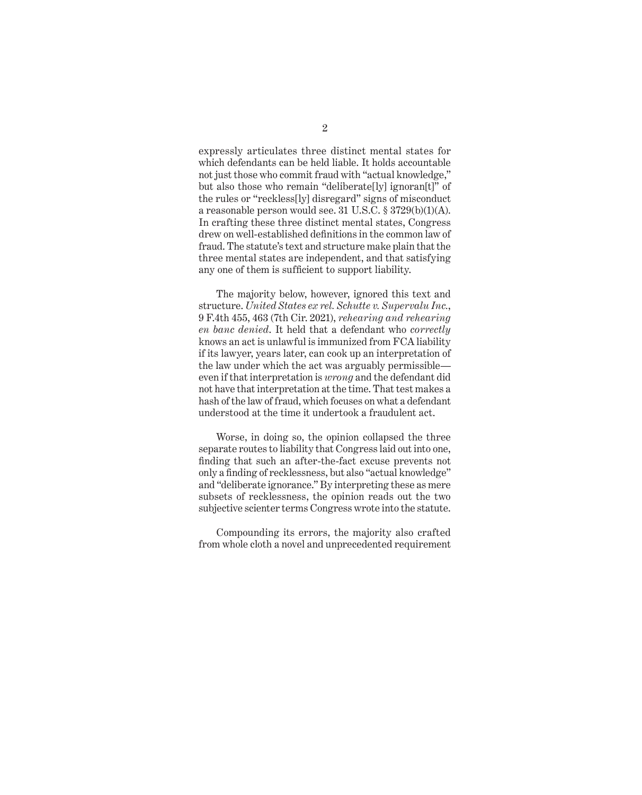expressly articulates three distinct mental states for which defendants can be held liable. It holds accountable not just those who commit fraud with "actual knowledge," but also those who remain "deliberate[ly] ignoran[t]" of the rules or "reckless[ly] disregard" signs of misconduct a reasonable person would see. 31 U.S.C. § 3729(b)(1)(A). In crafting these three distinct mental states, Congress drew on well-established definitions in the common law of fraud. The statute's text and structure make plain that the three mental states are independent, and that satisfying any one of them is sufficient to support liability.

The majority below, however, ignored this text and structure. *United States ex rel. Schutte v. Supervalu Inc.*, 9 F.4th 455, 463 (7th Cir. 2021), *rehearing and rehearing en banc denied*. It held that a defendant who *correctly* knows an act is unlawful is immunized from FCA liability if its lawyer, years later, can cook up an interpretation of the law under which the act was arguably permissible even if that interpretation is *wrong* and the defendant did not have that interpretation at the time. That test makes a hash of the law of fraud, which focuses on what a defendant understood at the time it undertook a fraudulent act.

Worse, in doing so, the opinion collapsed the three separate routes to liability that Congress laid out into one, finding that such an after-the-fact excuse prevents not only a finding of recklessness, but also "actual knowledge" and "deliberate ignorance." By interpreting these as mere subsets of recklessness, the opinion reads out the two subjective scienter terms Congress wrote into the statute.

Compounding its errors, the majority also crafted from whole cloth a novel and unprecedented requirement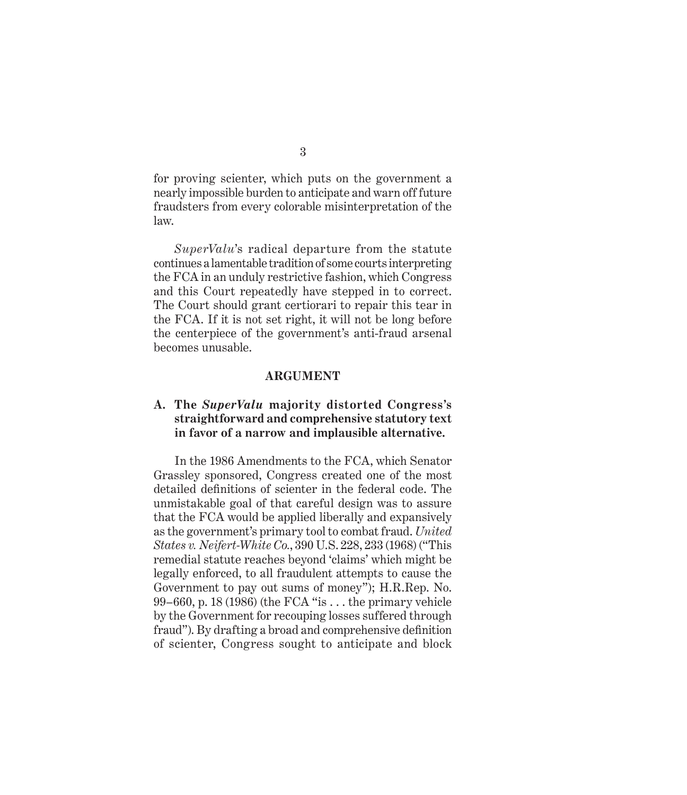for proving scienter, which puts on the government a nearly impossible burden to anticipate and warn off future fraudsters from every colorable misinterpretation of the law.

*SuperValu*'s radical departure from the statute continues a lamentable tradition of some courts interpreting the FCA in an unduly restrictive fashion, which Congress and this Court repeatedly have stepped in to correct. The Court should grant certiorari to repair this tear in the FCA. If it is not set right, it will not be long before the centerpiece of the government's anti-fraud arsenal becomes unusable.

### **ARGUMENT**

### **A. The** *SuperValu* **majority distorted Congress's straightforward and comprehensive statutory text in favor of a narrow and implausible alternative.**

In the 1986 Amendments to the FCA, which Senator Grassley sponsored, Congress created one of the most detailed definitions of scienter in the federal code. The unmistakable goal of that careful design was to assure that the FCA would be applied liberally and expansively as the government's primary tool to combat fraud. *United States v. Neifert-White Co.*, 390 U.S. 228, 233 (1968) ("This remedial statute reaches beyond 'claims' which might be legally enforced, to all fraudulent attempts to cause the Government to pay out sums of money"); H.R.Rep. No. 99–660, p. 18 (1986) (the FCA "is . . . the primary vehicle by the Government for recouping losses suffered through fraud"). By drafting a broad and comprehensive definition of scienter, Congress sought to anticipate and block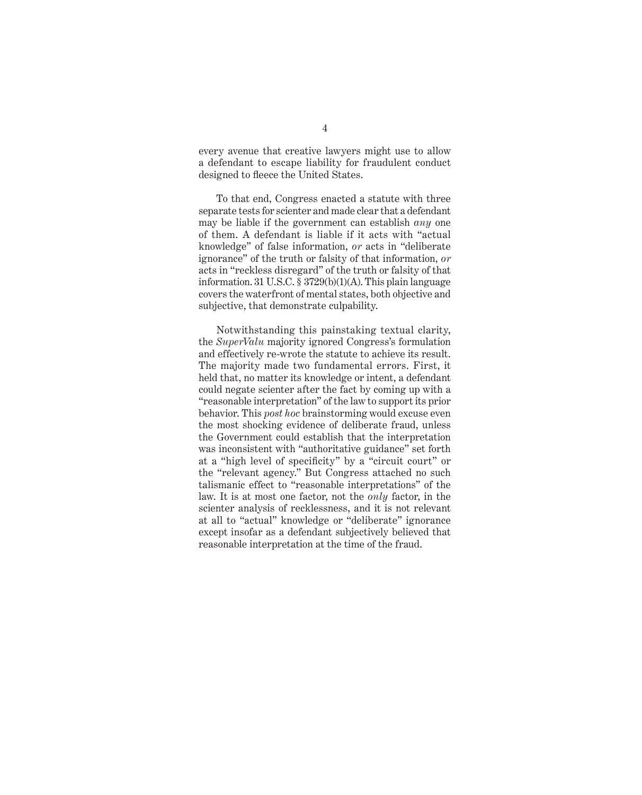every avenue that creative lawyers might use to allow a defendant to escape liability for fraudulent conduct designed to fleece the United States.

To that end, Congress enacted a statute with three separate tests for scienter and made clear that a defendant may be liable if the government can establish *any* one of them. A defendant is liable if it acts with "actual knowledge" of false information, *or* acts in "deliberate ignorance" of the truth or falsity of that information, *or* acts in "reckless disregard" of the truth or falsity of that information. 31 U.S.C. § 3729(b)(1)(A). This plain language covers the waterfront of mental states, both objective and subjective, that demonstrate culpability.

Notwithstanding this painstaking textual clarity, the *SuperValu* majority ignored Congress's formulation and effectively re-wrote the statute to achieve its result. The majority made two fundamental errors. First, it held that, no matter its knowledge or intent, a defendant could negate scienter after the fact by coming up with a "reasonable interpretation" of the law to support its prior behavior. This *post hoc* brainstorming would excuse even the most shocking evidence of deliberate fraud, unless the Government could establish that the interpretation was inconsistent with "authoritative guidance" set forth at a "high level of specificity" by a "circuit court" or the "relevant agency." But Congress attached no such talismanic effect to "reasonable interpretations" of the law. It is at most one factor, not the *only* factor, in the scienter analysis of recklessness, and it is not relevant at all to "actual" knowledge or "deliberate" ignorance except insofar as a defendant subjectively believed that reasonable interpretation at the time of the fraud.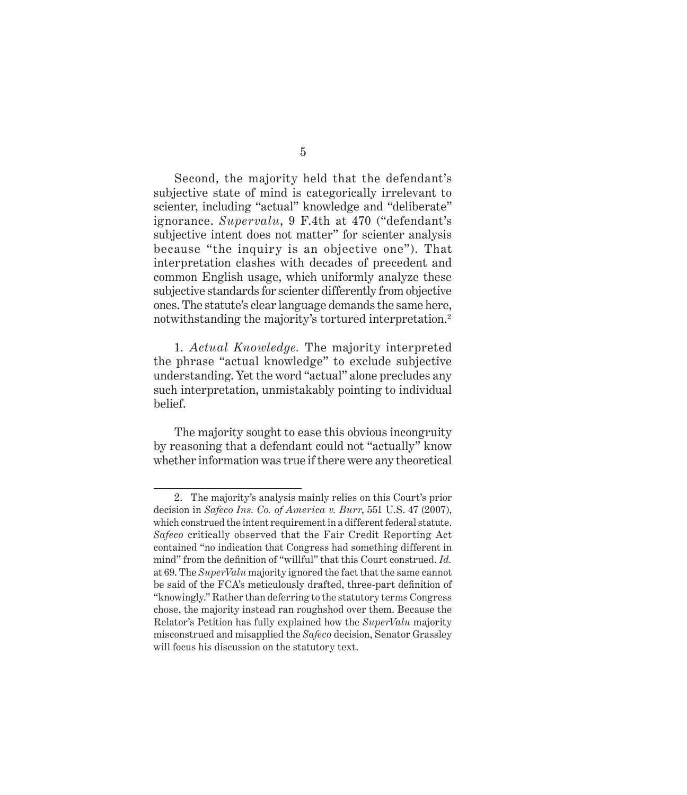Second, the majority held that the defendant's subjective state of mind is categorically irrelevant to scienter, including "actual" knowledge and "deliberate" ignorance. *Supervalu*, 9 F.4th at 470 ("defendant's subjective intent does not matter" for scienter analysis because "the inquiry is an objective one"). That interpretation clashes with decades of precedent and common English usage, which uniformly analyze these subjective standards for scienter differently from objective ones. The statute's clear language demands the same here, notwithstanding the majority's tortured interpretation.<sup>2</sup>

1. *Actual Knowledge.* The majority interpreted the phrase "actual knowledge" to exclude subjective understanding. Yet the word "actual" alone precludes any such interpretation, unmistakably pointing to individual belief.

The majority sought to ease this obvious incongruity by reasoning that a defendant could not "actually" know whether information was true if there were any theoretical

<sup>2.</sup> The majority's analysis mainly relies on this Court's prior decision in *Safeco Ins. Co. of America v. Burr*, 551 U.S. 47 (2007), which construed the intent requirement in a different federal statute. *Safeco* critically observed that the Fair Credit Reporting Act contained "no indication that Congress had something different in mind" from the definition of "willful" that this Court construed. *Id.* at 69. The *SuperValu* majority ignored the fact that the same cannot be said of the FCA's meticulously drafted, three-part definition of "knowingly." Rather than deferring to the statutory terms Congress chose, the majority instead ran roughshod over them. Because the Relator's Petition has fully explained how the *SuperValu* majority misconstrued and misapplied the *Safeco* decision, Senator Grassley will focus his discussion on the statutory text.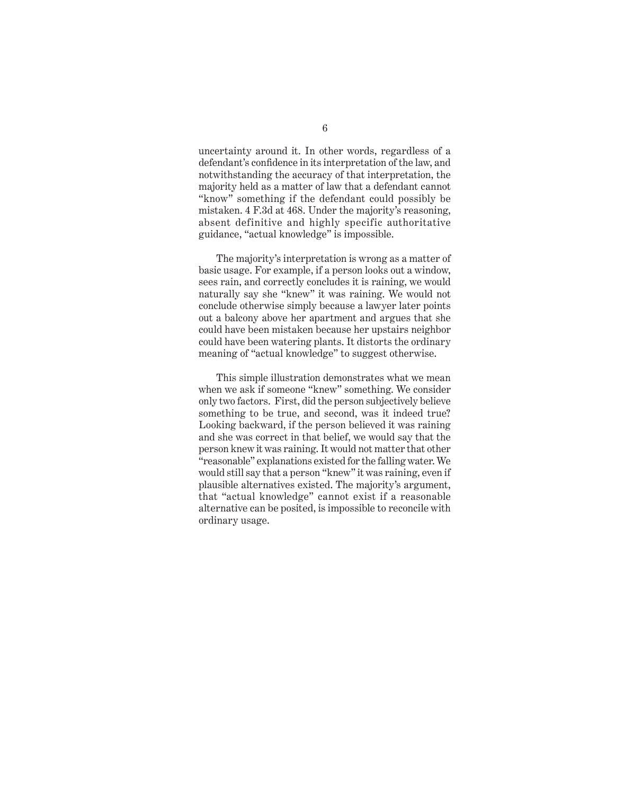uncertainty around it. In other words, regardless of a defendant's confidence in its interpretation of the law, and notwithstanding the accuracy of that interpretation, the majority held as a matter of law that a defendant cannot "know" something if the defendant could possibly be mistaken. 4 F.3d at 468. Under the majority's reasoning, absent definitive and highly specific authoritative guidance, "actual knowledge" is impossible.

The majority's interpretation is wrong as a matter of basic usage. For example, if a person looks out a window, sees rain, and correctly concludes it is raining, we would naturally say she "knew" it was raining. We would not conclude otherwise simply because a lawyer later points out a balcony above her apartment and argues that she could have been mistaken because her upstairs neighbor could have been watering plants. It distorts the ordinary meaning of "actual knowledge" to suggest otherwise.

This simple illustration demonstrates what we mean when we ask if someone "knew" something. We consider only two factors. First, did the person subjectively believe something to be true, and second, was it indeed true? Looking backward, if the person believed it was raining and she was correct in that belief, we would say that the person knew it was raining. It would not matter that other "reasonable" explanations existed for the falling water. We would still say that a person "knew" it was raining, even if plausible alternatives existed. The majority's argument, that "actual knowledge" cannot exist if a reasonable alternative can be posited, is impossible to reconcile with ordinary usage.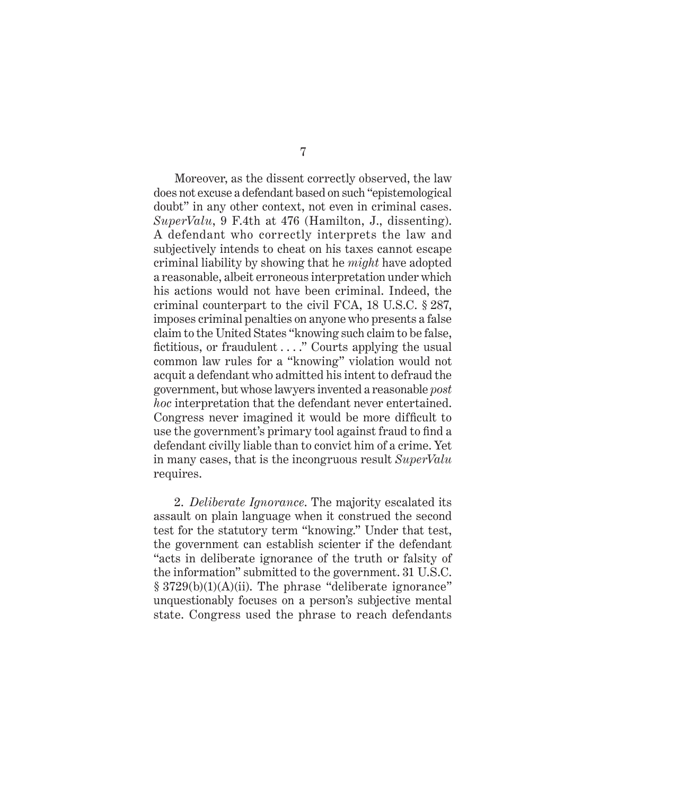Moreover, as the dissent correctly observed, the law does not excuse a defendant based on such "epistemological doubt" in any other context, not even in criminal cases. *SuperValu*, 9 F.4th at 476 (Hamilton, J., dissenting). A defendant who correctly interprets the law and subjectively intends to cheat on his taxes cannot escape criminal liability by showing that he *might* have adopted a reasonable, albeit erroneous interpretation under which his actions would not have been criminal. Indeed, the criminal counterpart to the civil FCA, 18 U.S.C. § 287, imposes criminal penalties on anyone who presents a false claim to the United States "knowing such claim to be false, fictitious, or fraudulent . . . ." Courts applying the usual common law rules for a "knowing" violation would not acquit a defendant who admitted his intent to defraud the government, but whose lawyers invented a reasonable *post hoc* interpretation that the defendant never entertained. Congress never imagined it would be more difficult to use the government's primary tool against fraud to find a defendant civilly liable than to convict him of a crime. Yet in many cases, that is the incongruous result *SuperValu* requires.

2. *Deliberate Ignorance*. The majority escalated its assault on plain language when it construed the second test for the statutory term "knowing." Under that test, the government can establish scienter if the defendant "acts in deliberate ignorance of the truth or falsity of the information" submitted to the government. 31 U.S.C. § 3729(b)(1)(A)(ii). The phrase "deliberate ignorance" unquestionably focuses on a person's subjective mental state. Congress used the phrase to reach defendants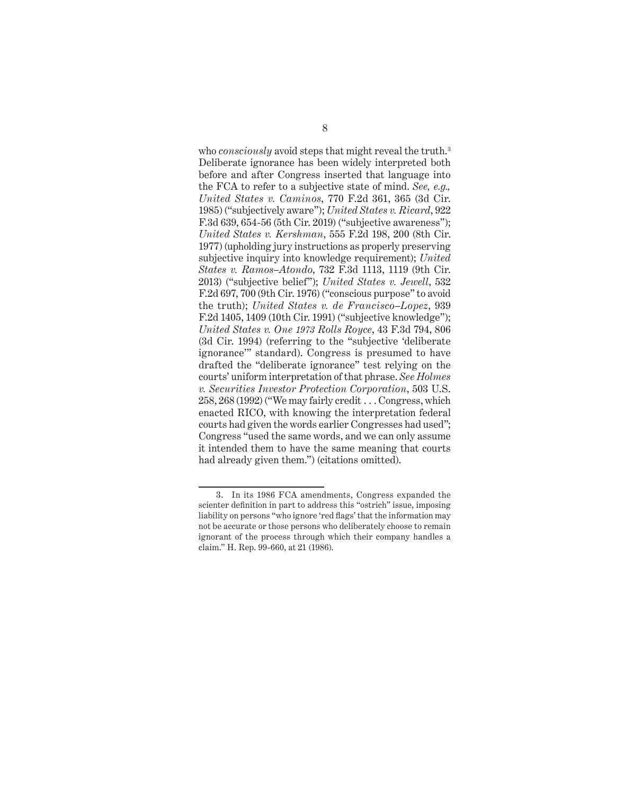who *consciously* avoid steps that might reveal the truth.<sup>3</sup> Deliberate ignorance has been widely interpreted both before and after Congress inserted that language into the FCA to refer to a subjective state of mind. *See, e.g., United States v. Caminos*, 770 F.2d 361, 365 (3d Cir. 1985) ("subjectively aware"); *United States v. Ricard*, 922 F.3d 639, 654-56 (5th Cir. 2019) ("subjective awareness"); *United States v. Kershman*, 555 F.2d 198, 200 (8th Cir. 1977) (upholding jury instructions as properly preserving subjective inquiry into knowledge requirement); *United States v. Ramos–Atondo*, 732 F.3d 1113, 1119 (9th Cir. 2013) ("subjective belief"); *United States v. Jewell*, 532 F.2d 697, 700 (9th Cir. 1976) ("conscious purpose" to avoid the truth); *United States v. de Francisco–Lopez*, 939 F.2d 1405, 1409 (10th Cir. 1991) ("subjective knowledge"); *United States v. One 1973 Rolls Royce*, 43 F.3d 794, 806 (3d Cir. 1994) (referring to the "subjective 'deliberate ignorance'" standard). Congress is presumed to have drafted the "deliberate ignorance" test relying on the courts' uniform interpretation of that phrase. *See Holmes v. Securities Investor Protection Corporation*, 503 U.S. 258, 268 (1992) ("We may fairly credit . . . Congress, which enacted RICO, with knowing the interpretation federal courts had given the words earlier Congresses had used"; Congress "used the same words, and we can only assume it intended them to have the same meaning that courts had already given them.") (citations omitted).

<sup>3.</sup> In its 1986 FCA amendments, Congress expanded the scienter definition in part to address this "ostrich" issue, imposing liability on persons "who ignore 'red flags' that the information may not be accurate or those persons who deliberately choose to remain ignorant of the process through which their company handles a claim." H. Rep. 99-660, at 21 (1986).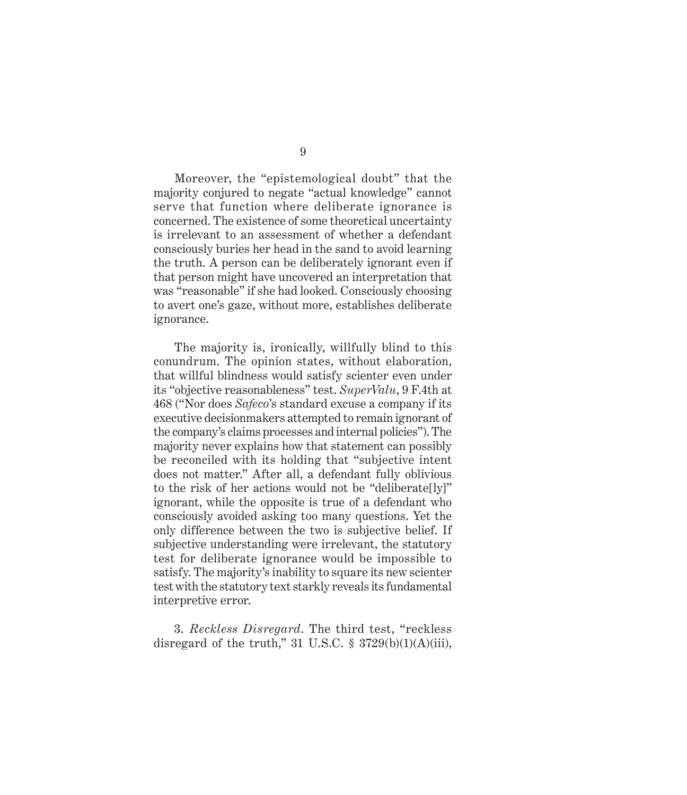Moreover, the "epistemological doubt" that the majority conjured to negate "actual knowledge" cannot serve that function where deliberate ignorance is concerned. The existence of some theoretical uncertainty is irrelevant to an assessment of whether a defendant consciously buries her head in the sand to avoid learning the truth. A person can be deliberately ignorant even if that person might have uncovered an interpretation that was "reasonable" if she had looked. Consciously choosing to avert one's gaze, without more, establishes deliberate ignorance.

The majority is, ironically, willfully blind to this conundrum. The opinion states, without elaboration, that willful blindness would satisfy scienter even under its "objective reasonableness" test. *SuperValu*, 9 F.4th at 468 ("Nor does *Safeco*'s standard excuse a company if its executive decisionmakers attempted to remain ignorant of the company's claims processes and internal policies"). The majority never explains how that statement can possibly be reconciled with its holding that "subjective intent does not matter." After all, a defendant fully oblivious to the risk of her actions would not be "deliberate[ly]" ignorant, while the opposite is true of a defendant who consciously avoided asking too many questions. Yet the only difference between the two is subjective belief. If subjective understanding were irrelevant, the statutory test for deliberate ignorance would be impossible to satisfy. The majority's inability to square its new scienter test with the statutory text starkly reveals its fundamental interpretive error.

3. *Reckless Disregard*. The third test, "reckless disregard of the truth," 31 U.S.C.  $\S$  3729(b)(1)(A)(iii),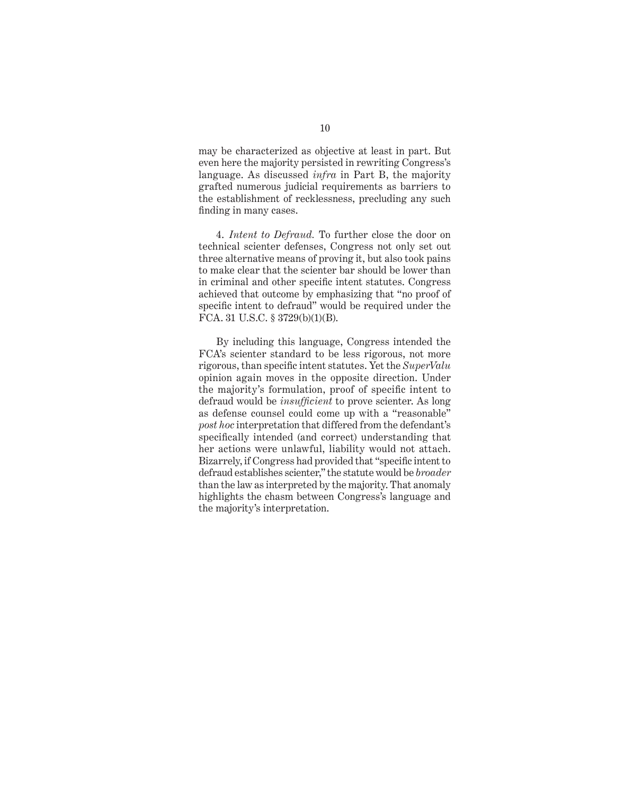may be characterized as objective at least in part. But even here the majority persisted in rewriting Congress's language. As discussed *infra* in Part B, the majority grafted numerous judicial requirements as barriers to the establishment of recklessness, precluding any such finding in many cases.

4. *Intent to Defraud.* To further close the door on technical scienter defenses, Congress not only set out three alternative means of proving it, but also took pains to make clear that the scienter bar should be lower than in criminal and other specific intent statutes. Congress achieved that outcome by emphasizing that "no proof of specific intent to defraud" would be required under the FCA. 31 U.S.C. § 3729(b)(1)(B).

By including this language, Congress intended the FCA's scienter standard to be less rigorous, not more rigorous, than specific intent statutes. Yet the *SuperValu* opinion again moves in the opposite direction. Under the majority's formulation, proof of specific intent to defraud would be *insufficient* to prove scienter. As long as defense counsel could come up with a "reasonable" *post hoc* interpretation that differed from the defendant's specifically intended (and correct) understanding that her actions were unlawful, liability would not attach. Bizarrely, if Congress had provided that "specific intent to defraud establishes scienter," the statute would be *broader* than the law as interpreted by the majority. That anomaly highlights the chasm between Congress's language and the majority's interpretation.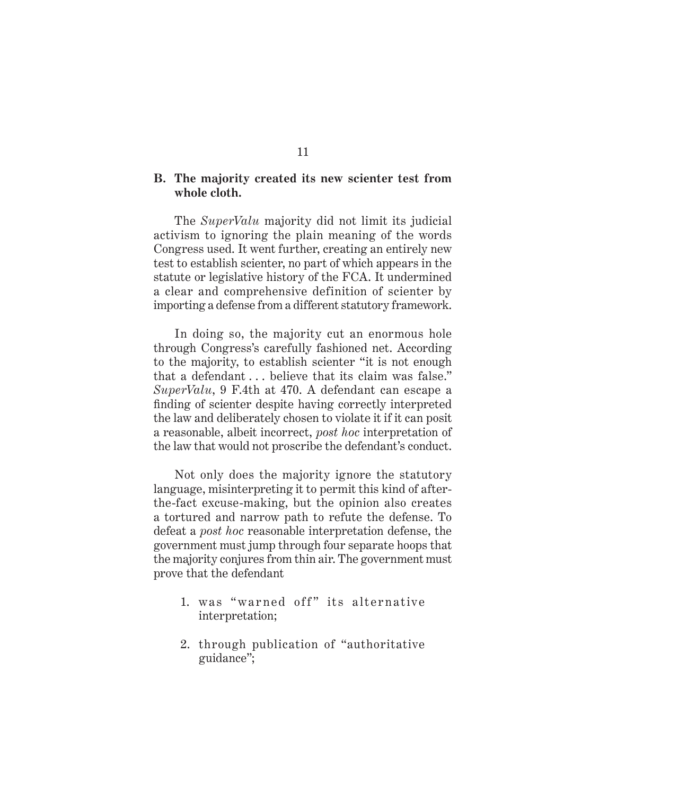#### **B. The majority created its new scienter test from whole cloth.**

The *SuperValu* majority did not limit its judicial activism to ignoring the plain meaning of the words Congress used. It went further, creating an entirely new test to establish scienter, no part of which appears in the statute or legislative history of the FCA. It undermined a clear and comprehensive definition of scienter by importing a defense from a different statutory framework.

In doing so, the majority cut an enormous hole through Congress's carefully fashioned net. According to the majority, to establish scienter "it is not enough that a defendant . . . believe that its claim was false." *SuperValu*, 9 F.4th at 470. A defendant can escape a finding of scienter despite having correctly interpreted the law and deliberately chosen to violate it if it can posit a reasonable, albeit incorrect, *post hoc* interpretation of the law that would not proscribe the defendant's conduct.

Not only does the majority ignore the statutory language, misinterpreting it to permit this kind of afterthe-fact excuse-making, but the opinion also creates a tortured and narrow path to refute the defense. To defeat a *post hoc* reasonable interpretation defense, the government must jump through four separate hoops that the majority conjures from thin air. The government must prove that the defendant

- 1. was "warned off" its alternative interpretation;
- 2. through publication of "authoritative guidance";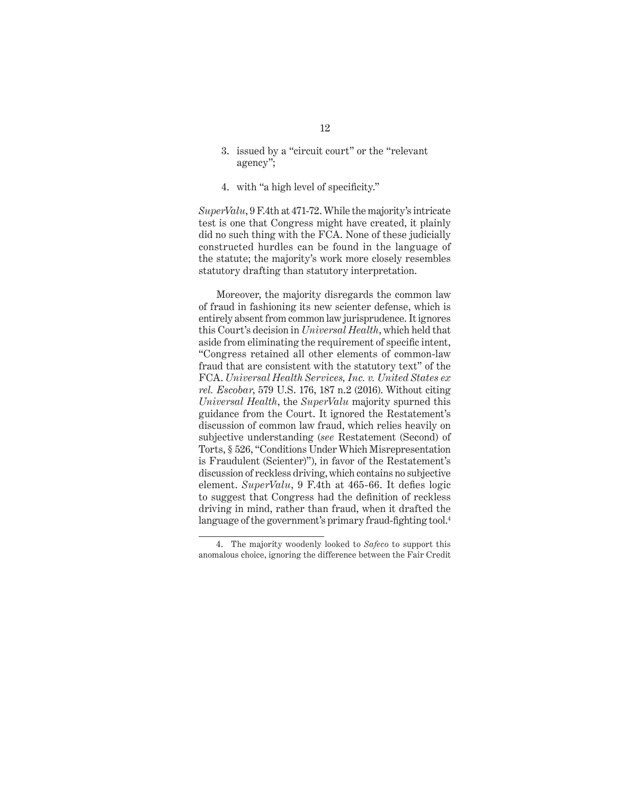- 3. issued by a "circuit court" or the "relevant agency";
- 4. with "a high level of specificity."

*SuperValu*, 9 F.4th at 471-72. While the majority's intricate test is one that Congress might have created, it plainly did no such thing with the FCA. None of these judicially constructed hurdles can be found in the language of the statute; the majority's work more closely resembles statutory drafting than statutory interpretation.

Moreover, the majority disregards the common law of fraud in fashioning its new scienter defense, which is entirely absent from common law jurisprudence. It ignores this Court's decision in *Universal Health*, which held that aside from eliminating the requirement of specific intent, "Congress retained all other elements of common-law fraud that are consistent with the statutory text" of the FCA. *Universal Health Services, Inc. v. United States ex rel. Escobar*, 579 U.S. 176, 187 n.2 (2016). Without citing *Universal Health*, the *SuperValu* majority spurned this guidance from the Court. It ignored the Restatement's discussion of common law fraud, which relies heavily on subjective understanding (*see* Restatement (Second) of Torts, § 526, "Conditions Under Which Misrepresentation is Fraudulent (Scienter)"), in favor of the Restatement's discussion of reckless driving, which contains no subjective element. *SuperValu*, 9 F.4th at 465-66. It defies logic to suggest that Congress had the definition of reckless driving in mind, rather than fraud, when it drafted the language of the government's primary fraud-fighting tool.<sup>4</sup>

<sup>4.</sup> The majority woodenly looked to *Safeco* to support this anomalous choice, ignoring the difference between the Fair Credit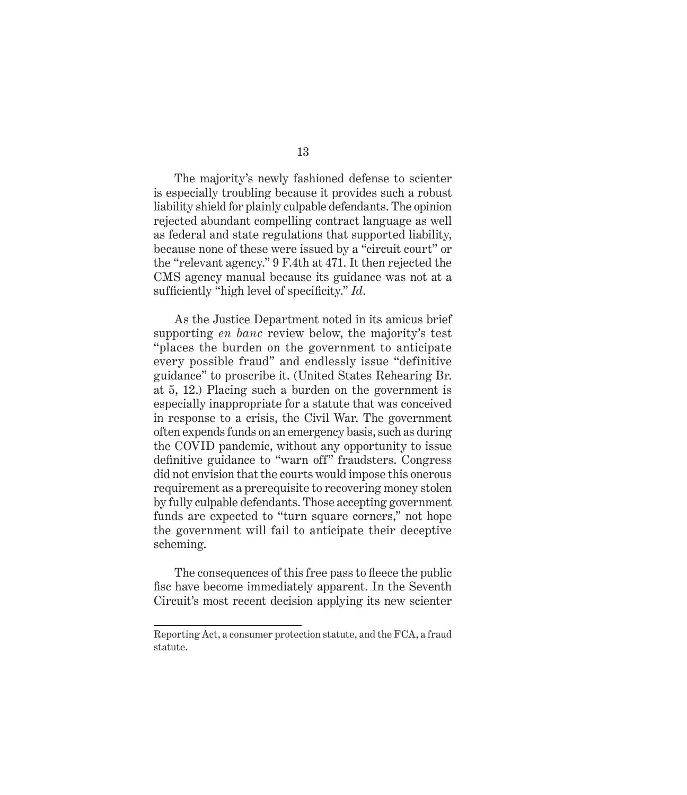The majority's newly fashioned defense to scienter is especially troubling because it provides such a robust liability shield for plainly culpable defendants. The opinion rejected abundant compelling contract language as well as federal and state regulations that supported liability, because none of these were issued by a "circuit court" or the "relevant agency." 9 F.4th at 471. It then rejected the CMS agency manual because its guidance was not at a sufficiently "high level of specificity." *Id*.

As the Justice Department noted in its amicus brief supporting *en banc* review below, the majority's test "places the burden on the government to anticipate every possible fraud" and endlessly issue "definitive guidance" to proscribe it. (United States Rehearing Br. at 5, 12.) Placing such a burden on the government is especially inappropriate for a statute that was conceived in response to a crisis, the Civil War. The government often expends funds on an emergency basis, such as during the COVID pandemic, without any opportunity to issue definitive guidance to "warn off" fraudsters. Congress did not envision that the courts would impose this onerous requirement as a prerequisite to recovering money stolen by fully culpable defendants. Those accepting government funds are expected to "turn square corners," not hope the government will fail to anticipate their deceptive scheming.

The consequences of this free pass to fleece the public fisc have become immediately apparent. In the Seventh Circuit's most recent decision applying its new scienter

Reporting Act, a consumer protection statute, and the FCA, a fraud statute.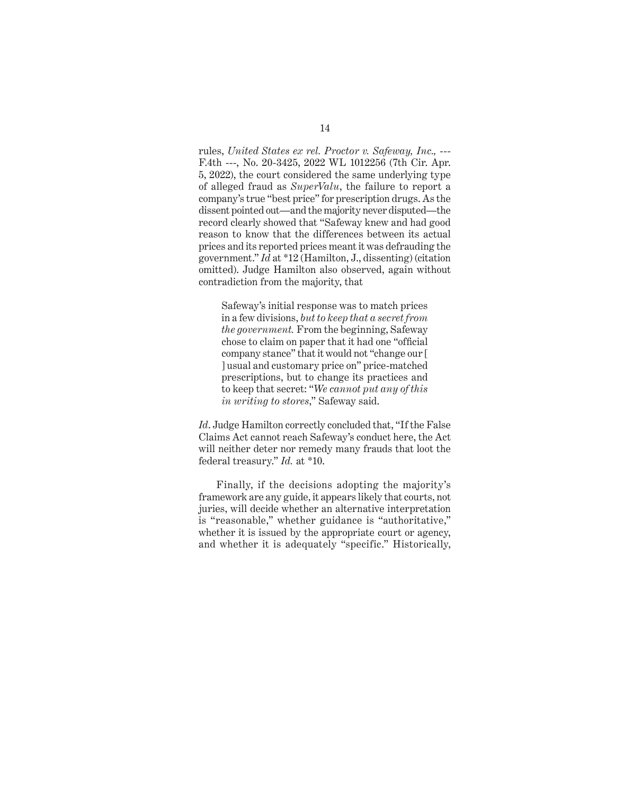rules, *United States ex rel. Proctor v. Safeway, Inc.,* --- F.4th ---, No. 20-3425, 2022 WL 1012256 (7th Cir. Apr. 5, 2022), the court considered the same underlying type of alleged fraud as *SuperValu*, the failure to report a company's true "best price" for prescription drugs. As the dissent pointed out—and the majority never disputed—the record clearly showed that "Safeway knew and had good reason to know that the differences between its actual prices and its reported prices meant it was defrauding the government." *Id* at \*12 (Hamilton, J., dissenting) (citation omitted). Judge Hamilton also observed, again without contradiction from the majority, that

Safeway's initial response was to match prices in a few divisions, *but to keep that a secret from the government.* From the beginning, Safeway chose to claim on paper that it had one "official company stance" that it would not "change our [ ] usual and customary price on" price-matched prescriptions, but to change its practices and to keep that secret: "*We cannot put any of this in writing to stores*," Safeway said.

*Id*. Judge Hamilton correctly concluded that, "If the False Claims Act cannot reach Safeway's conduct here, the Act will neither deter nor remedy many frauds that loot the federal treasury." *Id.* at \*10.

Finally, if the decisions adopting the majority's framework are any guide, it appears likely that courts, not juries, will decide whether an alternative interpretation is "reasonable," whether guidance is "authoritative," whether it is issued by the appropriate court or agency, and whether it is adequately "specific." Historically,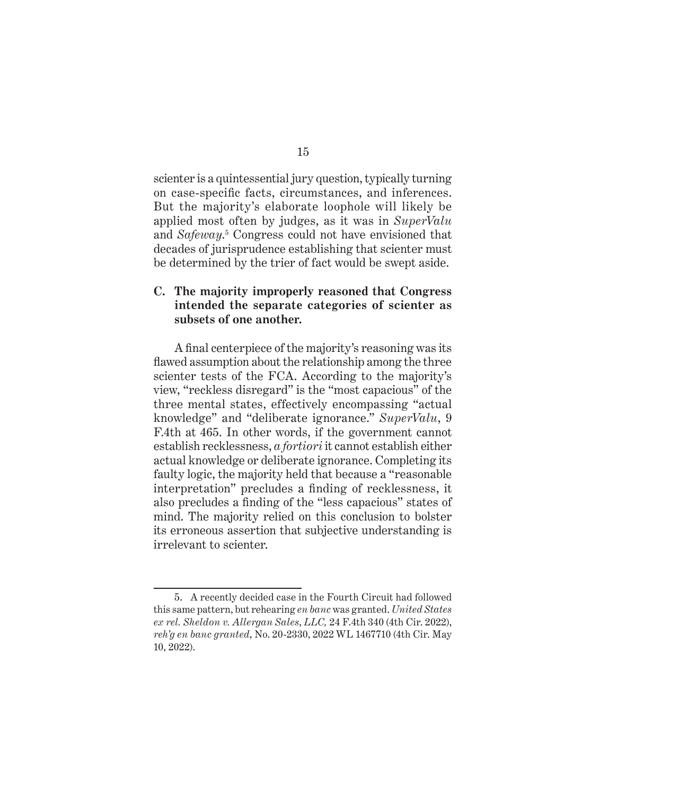scienter is a quintessential jury question, typically turning on case-specific facts, circumstances, and inferences. But the majority's elaborate loophole will likely be applied most often by judges, as it was in *SuperValu* and *Safeway*. 5 Congress could not have envisioned that decades of jurisprudence establishing that scienter must be determined by the trier of fact would be swept aside.

### **C. The majority improperly reasoned that Congress intended the separate categories of scienter as subsets of one another.**

A final centerpiece of the majority's reasoning was its flawed assumption about the relationship among the three scienter tests of the FCA. According to the majority's view, "reckless disregard" is the "most capacious" of the three mental states, effectively encompassing "actual knowledge" and "deliberate ignorance." *SuperValu*, 9 F.4th at 465. In other words, if the government cannot establish recklessness, *a fortiori* it cannot establish either actual knowledge or deliberate ignorance. Completing its faulty logic, the majority held that because a "reasonable interpretation" precludes a finding of recklessness, it also precludes a finding of the "less capacious" states of mind. The majority relied on this conclusion to bolster its erroneous assertion that subjective understanding is irrelevant to scienter.

<sup>5.</sup> A recently decided case in the Fourth Circuit had followed this same pattern, but rehearing *en banc* was granted. *United States ex rel. Sheldon v. Allergan Sales*, *LLC,* 24 F.4th 340 (4th Cir. 2022), *reh'g en banc granted*, No. 20-2330, 2022 WL 1467710 (4th Cir. May 10, 2022).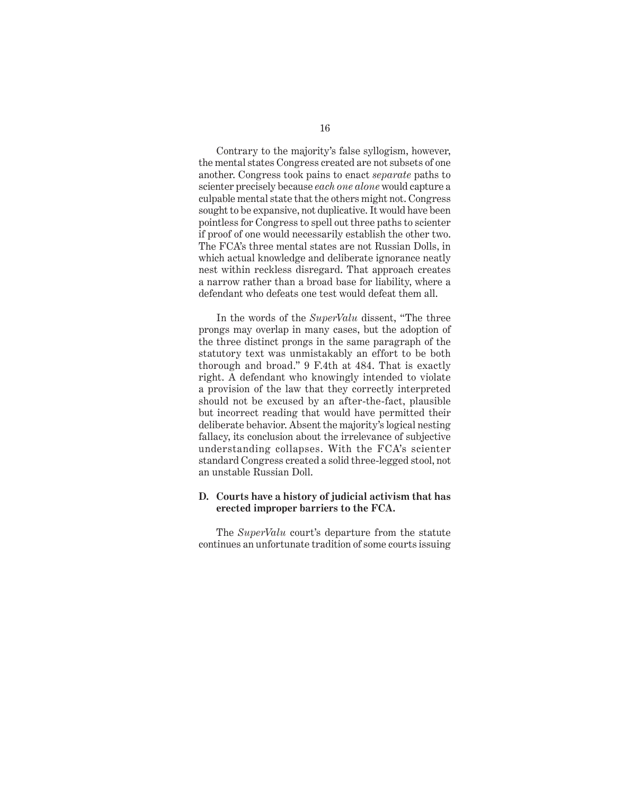Contrary to the majority's false syllogism, however, the mental states Congress created are not subsets of one another. Congress took pains to enact *separate* paths to scienter precisely because *each one alone* would capture a culpable mental state that the others might not. Congress sought to be expansive, not duplicative. It would have been pointless for Congress to spell out three paths to scienter if proof of one would necessarily establish the other two. The FCA's three mental states are not Russian Dolls, in which actual knowledge and deliberate ignorance neatly nest within reckless disregard. That approach creates a narrow rather than a broad base for liability, where a defendant who defeats one test would defeat them all.

In the words of the *SuperValu* dissent, "The three prongs may overlap in many cases, but the adoption of the three distinct prongs in the same paragraph of the statutory text was unmistakably an effort to be both thorough and broad." 9 F.4th at 484. That is exactly right. A defendant who knowingly intended to violate a provision of the law that they correctly interpreted should not be excused by an after-the-fact, plausible but incorrect reading that would have permitted their deliberate behavior. Absent the majority's logical nesting fallacy, its conclusion about the irrelevance of subjective understanding collapses. With the FCA's scienter standard Congress created a solid three-legged stool, not an unstable Russian Doll.

#### **D. Courts have a history of judicial activism that has erected improper barriers to the FCA.**

The *SuperValu* court's departure from the statute continues an unfortunate tradition of some courts issuing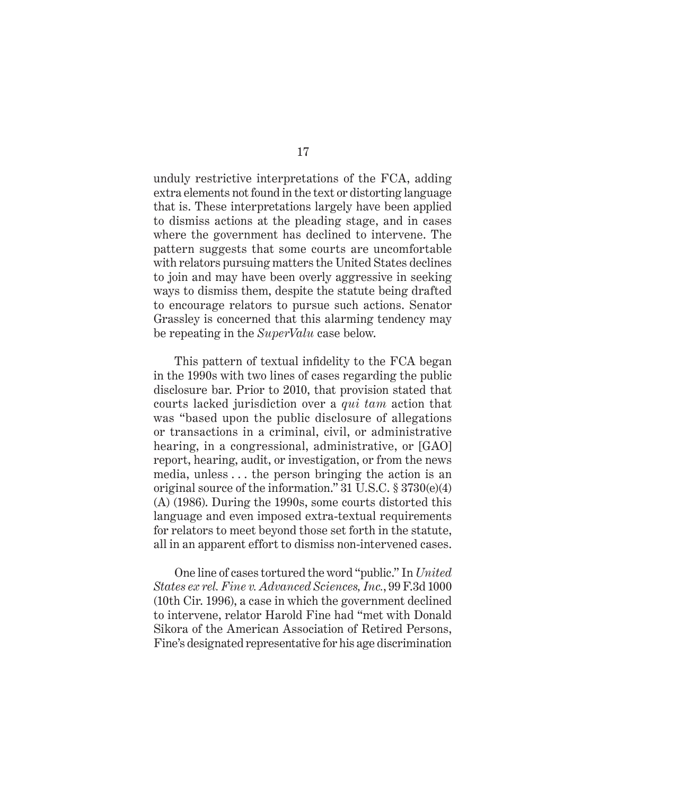unduly restrictive interpretations of the FCA, adding extra elements not found in the text or distorting language that is. These interpretations largely have been applied to dismiss actions at the pleading stage, and in cases where the government has declined to intervene. The pattern suggests that some courts are uncomfortable with relators pursuing matters the United States declines to join and may have been overly aggressive in seeking ways to dismiss them, despite the statute being drafted to encourage relators to pursue such actions. Senator Grassley is concerned that this alarming tendency may be repeating in the *SuperValu* case below.

This pattern of textual infidelity to the FCA began in the 1990s with two lines of cases regarding the public disclosure bar. Prior to 2010, that provision stated that courts lacked jurisdiction over a *qui tam* action that was "based upon the public disclosure of allegations or transactions in a criminal, civil, or administrative hearing, in a congressional, administrative, or [GAO] report, hearing, audit, or investigation, or from the news media, unless . . . the person bringing the action is an original source of the information." 31 U.S.C. § 3730(e)(4) (A) (1986). During the 1990s, some courts distorted this language and even imposed extra-textual requirements for relators to meet beyond those set forth in the statute, all in an apparent effort to dismiss non-intervened cases.

One line of cases tortured the word "public." In *United States ex rel. Fine v. Advanced Sciences, Inc.*, 99 F.3d 1000 (10th Cir. 1996), a case in which the government declined to intervene, relator Harold Fine had "met with Donald Sikora of the American Association of Retired Persons, Fine's designated representative for his age discrimination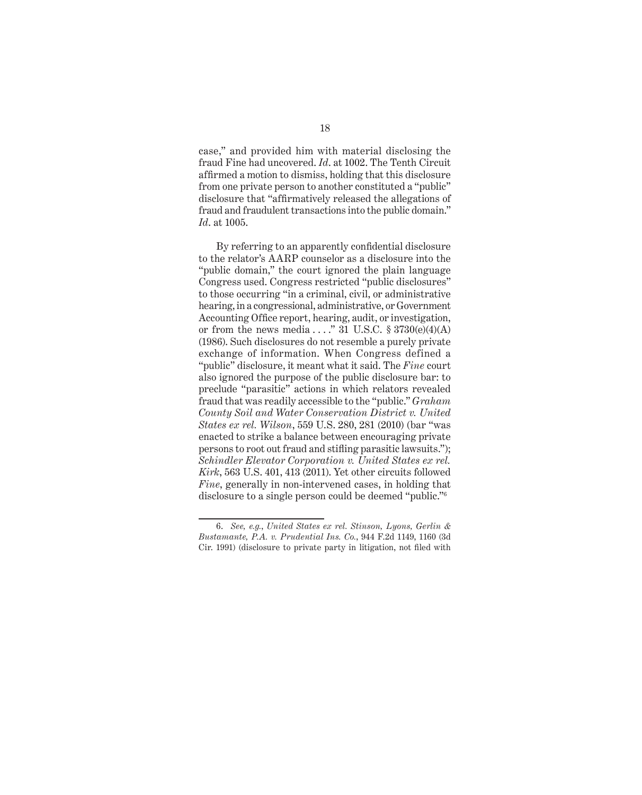case," and provided him with material disclosing the fraud Fine had uncovered. *Id*. at 1002. The Tenth Circuit affirmed a motion to dismiss, holding that this disclosure from one private person to another constituted a "public" disclosure that "affirmatively released the allegations of fraud and fraudulent transactions into the public domain." *Id*. at 1005.

By referring to an apparently confidential disclosure to the relator's AARP counselor as a disclosure into the "public domain," the court ignored the plain language Congress used. Congress restricted "public disclosures" to those occurring "in a criminal, civil, or administrative hearing, in a congressional, administrative, or Government Accounting Office report, hearing, audit, or investigation, or from the news media  $\ldots$ ." 31 U.S.C. § 3730(e)(4)(A) (1986). Such disclosures do not resemble a purely private exchange of information. When Congress defined a "public" disclosure, it meant what it said. The *Fine* court also ignored the purpose of the public disclosure bar: to preclude "parasitic" actions in which relators revealed fraud that was readily accessible to the "public." *Graham County Soil and Water Conservation District v. United States ex rel. Wilson*, 559 U.S. 280, 281 (2010) (bar "was enacted to strike a balance between encouraging private persons to root out fraud and stifling parasitic lawsuits."); *Schindler Elevator Corporation v. United States ex rel. Kirk*, 563 U.S. 401, 413 (2011). Yet other circuits followed *Fine*, generally in non-intervened cases, in holding that disclosure to a single person could be deemed "public."6

<sup>6.</sup> *See, e.g.*, *United States ex rel. Stinson, Lyons, Gerlin & Bustamante, P.A. v. Prudential Ins. Co.*, 944 F.2d 1149, 1160 (3d Cir. 1991) (disclosure to private party in litigation, not filed with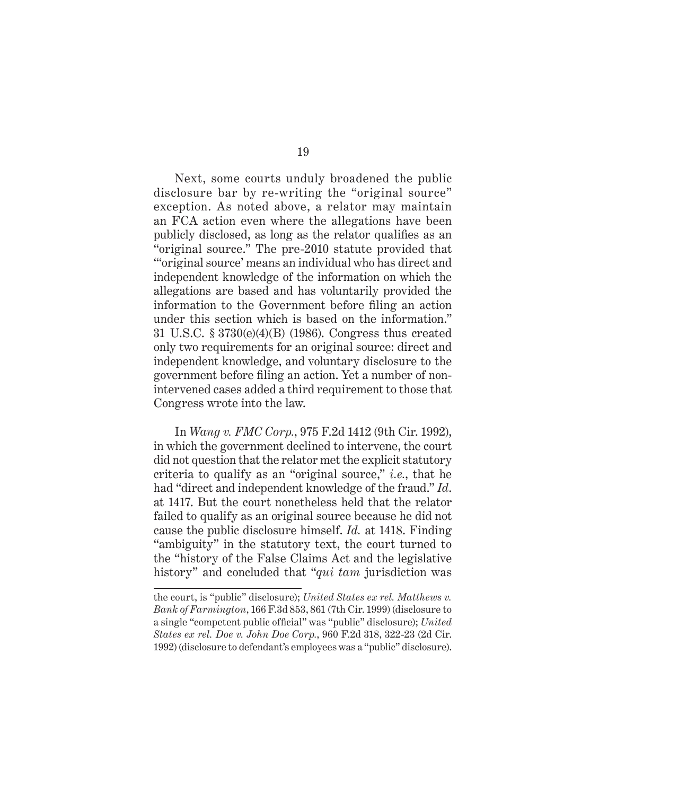Next, some courts unduly broadened the public disclosure bar by re-writing the "original source" exception. As noted above, a relator may maintain an FCA action even where the allegations have been publicly disclosed, as long as the relator qualifies as an "original source." The pre-2010 statute provided that "'original source' means an individual who has direct and independent knowledge of the information on which the allegations are based and has voluntarily provided the information to the Government before filing an action under this section which is based on the information." 31 U.S.C. § 3730(e)(4)(B) (1986). Congress thus created only two requirements for an original source: direct and independent knowledge, and voluntary disclosure to the government before filing an action. Yet a number of nonintervened cases added a third requirement to those that Congress wrote into the law.

In *Wang v. FMC Corp.*, 975 F.2d 1412 (9th Cir. 1992), in which the government declined to intervene, the court did not question that the relator met the explicit statutory criteria to qualify as an "original source," *i.e.*, that he had "direct and independent knowledge of the fraud." *Id*. at 1417. But the court nonetheless held that the relator failed to qualify as an original source because he did not cause the public disclosure himself. *Id.* at 1418. Finding "ambiguity" in the statutory text, the court turned to the "history of the False Claims Act and the legislative history" and concluded that "*qui tam* jurisdiction was

the court, is "public" disclosure); *United States ex rel. Matthews v. Bank of Farmington*, 166 F.3d 853, 861 (7th Cir. 1999) (disclosure to a single "competent public official" was "public" disclosure); *United States ex rel. Doe v. John Doe Corp.*, 960 F.2d 318, 322-23 (2d Cir. 1992) (disclosure to defendant's employees was a "public" disclosure).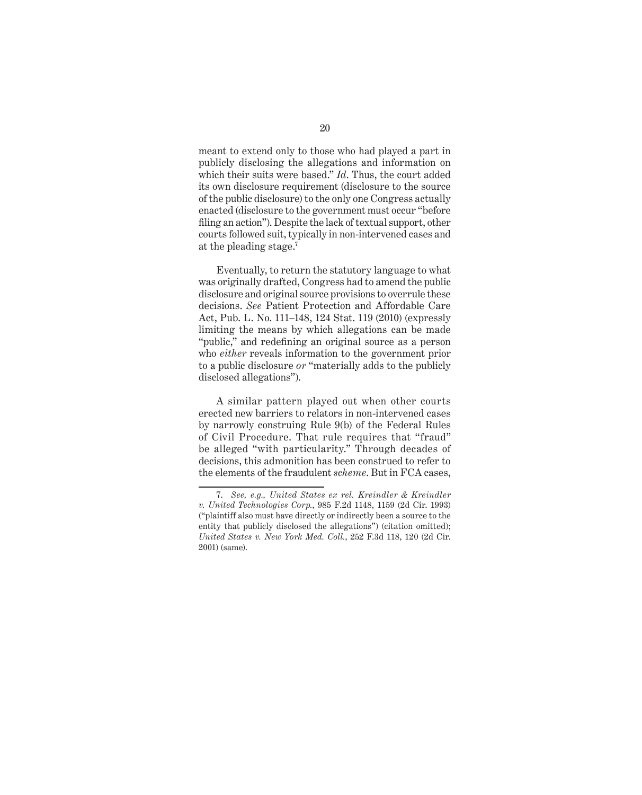meant to extend only to those who had played a part in publicly disclosing the allegations and information on which their suits were based." *Id*. Thus, the court added its own disclosure requirement (disclosure to the source of the public disclosure) to the only one Congress actually enacted (disclosure to the government must occur "before filing an action"). Despite the lack of textual support, other courts followed suit, typically in non-intervened cases and at the pleading stage.7

Eventually, to return the statutory language to what was originally drafted, Congress had to amend the public disclosure and original source provisions to overrule these decisions. *See* Patient Protection and Affordable Care Act, Pub. L. No. 111–148, 124 Stat. 119 (2010) (expressly limiting the means by which allegations can be made "public," and redefining an original source as a person who *either* reveals information to the government prior to a public disclosure *or* "materially adds to the publicly disclosed allegations").

A similar pattern played out when other courts erected new barriers to relators in non-intervened cases by narrowly construing Rule 9(b) of the Federal Rules of Civil Procedure. That rule requires that "fraud" be alleged "with particularity." Through decades of decisions, this admonition has been construed to refer to the elements of the fraudulent *scheme*. But in FCA cases,

<sup>7.</sup> *See, e.g., United States ex rel. Kreindler & Kreindler v. United Technologies Corp.*, 985 F.2d 1148, 1159 (2d Cir. 1993) ("plaintiff also must have directly or indirectly been a source to the entity that publicly disclosed the allegations") (citation omitted); *United States v. New York Med. Coll.*, 252 F.3d 118, 120 (2d Cir. 2001) (same).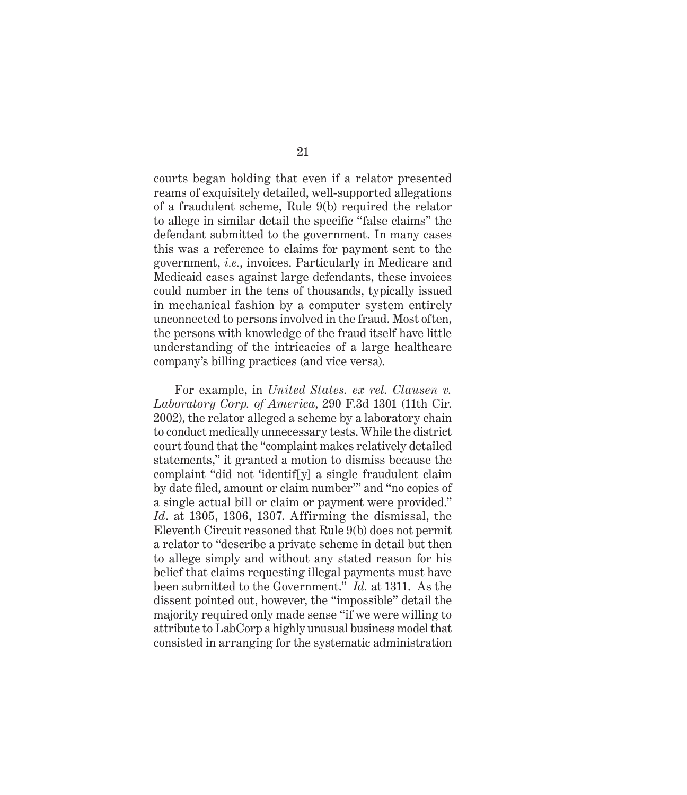courts began holding that even if a relator presented reams of exquisitely detailed, well-supported allegations of a fraudulent scheme, Rule 9(b) required the relator to allege in similar detail the specific "false claims" the defendant submitted to the government. In many cases this was a reference to claims for payment sent to the government, *i.e.*, invoices. Particularly in Medicare and Medicaid cases against large defendants, these invoices could number in the tens of thousands, typically issued in mechanical fashion by a computer system entirely unconnected to persons involved in the fraud. Most often, the persons with knowledge of the fraud itself have little understanding of the intricacies of a large healthcare company's billing practices (and vice versa).

For example, in *United States. ex rel. Clausen v. Laboratory Corp. of America*, 290 F.3d 1301 (11th Cir. 2002), the relator alleged a scheme by a laboratory chain to conduct medically unnecessary tests. While the district court found that the "complaint makes relatively detailed statements," it granted a motion to dismiss because the complaint "did not 'identif[y] a single fraudulent claim by date filed, amount or claim number'" and "no copies of a single actual bill or claim or payment were provided." *Id*. at 1305, 1306, 1307. Affirming the dismissal, the Eleventh Circuit reasoned that Rule 9(b) does not permit a relator to "describe a private scheme in detail but then to allege simply and without any stated reason for his belief that claims requesting illegal payments must have been submitted to the Government." *Id.* at 1311. As the dissent pointed out, however, the "impossible" detail the majority required only made sense "if we were willing to attribute to LabCorp a highly unusual business model that consisted in arranging for the systematic administration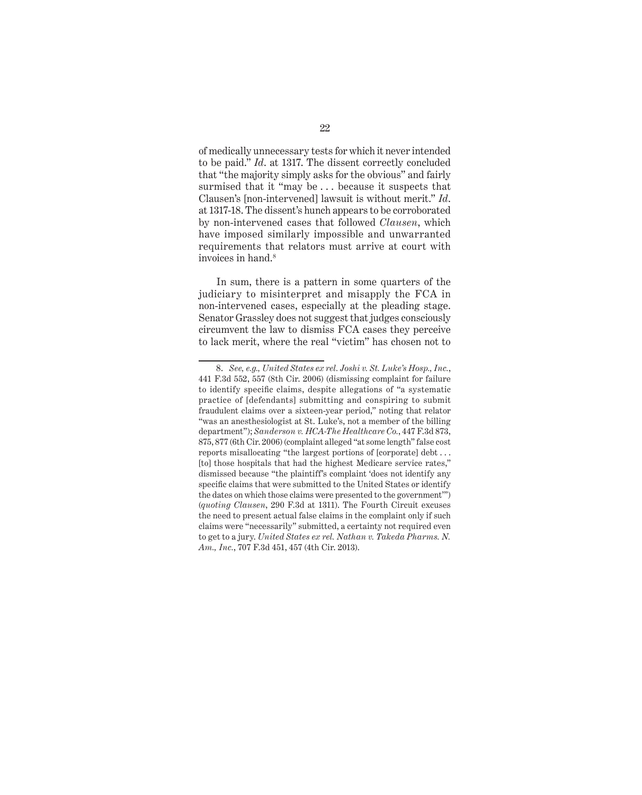of medically unnecessary tests for which it never intended to be paid." *Id*. at 1317. The dissent correctly concluded that "the majority simply asks for the obvious" and fairly surmised that it "may be . . . because it suspects that Clausen's [non-intervened] lawsuit is without merit." *Id*. at 1317-18. The dissent's hunch appears to be corroborated by non-intervened cases that followed *Clausen*, which have imposed similarly impossible and unwarranted requirements that relators must arrive at court with invoices in hand.<sup>8</sup>

In sum, there is a pattern in some quarters of the judiciary to misinterpret and misapply the FCA in non-intervened cases, especially at the pleading stage. Senator Grassley does not suggest that judges consciously circumvent the law to dismiss FCA cases they perceive to lack merit, where the real "victim" has chosen not to

<sup>8.</sup> *See, e.g., United States ex rel. Joshi v. St. Luke's Hosp., Inc.*, 441 F.3d 552, 557 (8th Cir. 2006) (dismissing complaint for failure to identify specific claims, despite allegations of "a systematic practice of [defendants] submitting and conspiring to submit fraudulent claims over a sixteen-year period," noting that relator "was an anesthesiologist at St. Luke's, not a member of the billing department"); *Sanderson v. HCA-The Healthcare Co.*, 447 F.3d 873, 875, 877 (6th Cir. 2006) (complaint alleged "at some length" false cost reports misallocating "the largest portions of [corporate] debt . . . [to] those hospitals that had the highest Medicare service rates," dismissed because "the plaintiff's complaint 'does not identify any specific claims that were submitted to the United States or identify the dates on which those claims were presented to the government'") (*quoting Clausen*, 290 F.3d at 1311). The Fourth Circuit excuses the need to present actual false claims in the complaint only if such claims were "necessarily" submitted, a certainty not required even to get to a jury. *United States ex rel. Nathan v. Takeda Pharms. N. Am., Inc.*, 707 F.3d 451, 457 (4th Cir. 2013).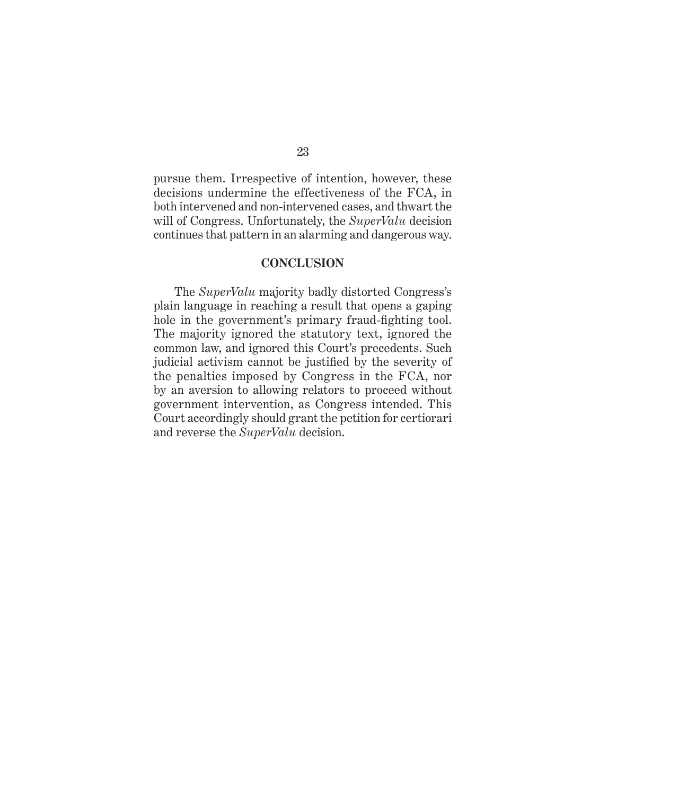pursue them. Irrespective of intention, however, these decisions undermine the effectiveness of the FCA, in both intervened and non-intervened cases, and thwart the will of Congress. Unfortunately, the *SuperValu* decision continues that pattern in an alarming and dangerous way.

#### **CONCLUSION**

The *SuperValu* majority badly distorted Congress's plain language in reaching a result that opens a gaping hole in the government's primary fraud-fighting tool. The majority ignored the statutory text, ignored the common law, and ignored this Court's precedents. Such judicial activism cannot be justified by the severity of the penalties imposed by Congress in the FCA, nor by an aversion to allowing relators to proceed without government intervention, as Congress intended. This Court accordingly should grant the petition for certiorari and reverse the *SuperValu* decision.